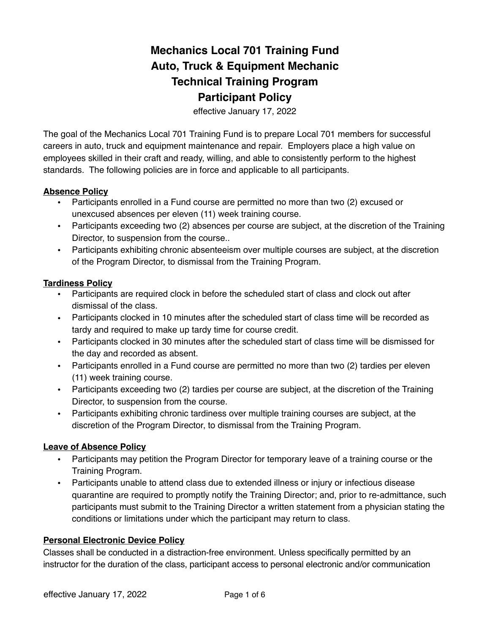# **Mechanics Local 701 Training Fund Auto, Truck & Equipment Mechanic Technical Training Program Participant Policy**

effective January 17, 2022

The goal of the Mechanics Local 701 Training Fund is to prepare Local 701 members for successful careers in auto, truck and equipment maintenance and repair. Employers place a high value on employees skilled in their craft and ready, willing, and able to consistently perform to the highest standards. The following policies are in force and applicable to all participants.

#### **Absence Policy**

- Participants enrolled in a Fund course are permitted no more than two (2) excused or unexcused absences per eleven (11) week training course.
- ! Participants exceeding two (2) absences per course are subject, at the discretion of the Training Director, to suspension from the course..
- ! Participants exhibiting chronic absenteeism over multiple courses are subject, at the discretion of the Program Director, to dismissal from the Training Program.

#### **Tardiness Policy**

- ! Participants are required clock in before the scheduled start of class and clock out after dismissal of the class.
- ! Participants clocked in 10 minutes after the scheduled start of class time will be recorded as tardy and required to make up tardy time for course credit.
- ! Participants clocked in 30 minutes after the scheduled start of class time will be dismissed for the day and recorded as absent.
- . Participants enrolled in a Fund course are permitted no more than two (2) tardies per eleven (11) week training course.
- ! Participants exceeding two (2) tardies per course are subject, at the discretion of the Training Director, to suspension from the course.
- ! Participants exhibiting chronic tardiness over multiple training courses are subject, at the discretion of the Program Director, to dismissal from the Training Program.

# **Leave of Absence Policy**

- ! Participants may petition the Program Director for temporary leave of a training course or the Training Program.
- ! Participants unable to attend class due to extended illness or injury or infectious disease quarantine are required to promptly notify the Training Director; and, prior to re-admittance, such participants must submit to the Training Director a written statement from a physician stating the conditions or limitations under which the participant may return to class.

# **Personal Electronic Device Policy**

Classes shall be conducted in a distraction-free environment. Unless specifically permitted by an instructor for the duration of the class, participant access to personal electronic and/or communication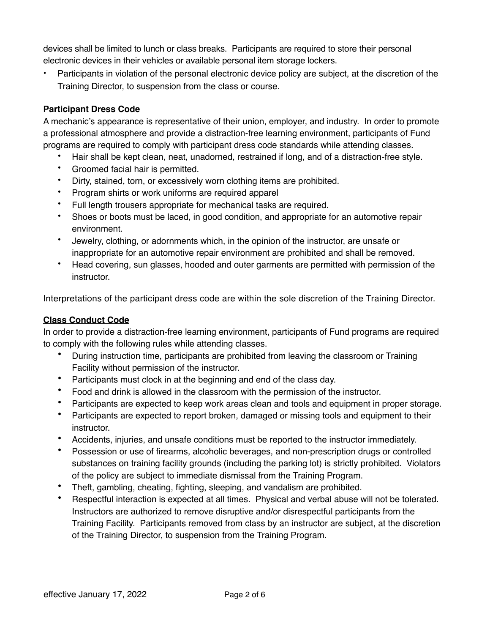devices shall be limited to lunch or class breaks. Participants are required to store their personal electronic devices in their vehicles or available personal item storage lockers.

• Participants in violation of the personal electronic device policy are subject, at the discretion of the Training Director, to suspension from the class or course.

# **Participant Dress Code**

A mechanic's appearance is representative of their union, employer, and industry. In order to promote a professional atmosphere and provide a distraction-free learning environment, participants of Fund programs are required to comply with participant dress code standards while attending classes.

- Hair shall be kept clean, neat, unadorned, restrained if long, and of a distraction-free style.
- Groomed facial hair is permitted.
- Dirty, stained, torn, or excessively worn clothing items are prohibited.
- Program shirts or work uniforms are required apparel
- Full length trousers appropriate for mechanical tasks are required.
- Shoes or boots must be laced, in good condition, and appropriate for an automotive repair environment.
- Jewelry, clothing, or adornments which, in the opinion of the instructor, are unsafe or inappropriate for an automotive repair environment are prohibited and shall be removed.
- Head covering, sun glasses, hooded and outer garments are permitted with permission of the instructor.

Interpretations of the participant dress code are within the sole discretion of the Training Director.

# **Class Conduct Code**

In order to provide a distraction-free learning environment, participants of Fund programs are required to comply with the following rules while attending classes.

- During instruction time, participants are prohibited from leaving the classroom or Training Facility without permission of the instructor.
- Participants must clock in at the beginning and end of the class day.
- Food and drink is allowed in the classroom with the permission of the instructor.
- Participants are expected to keep work areas clean and tools and equipment in proper storage.
- Participants are expected to report broken, damaged or missing tools and equipment to their instructor.
- Accidents, injuries, and unsafe conditions must be reported to the instructor immediately.
- Possession or use of firearms, alcoholic beverages, and non-prescription drugs or controlled substances on training facility grounds (including the parking lot) is strictly prohibited. Violators of the policy are subject to immediate dismissal from the Training Program.
- Theft, gambling, cheating, fighting, sleeping, and vandalism are prohibited.
- Respectful interaction is expected at all times. Physical and verbal abuse will not be tolerated. Instructors are authorized to remove disruptive and/or disrespectful participants from the Training Facility. Participants removed from class by an instructor are subject, at the discretion of the Training Director, to suspension from the Training Program.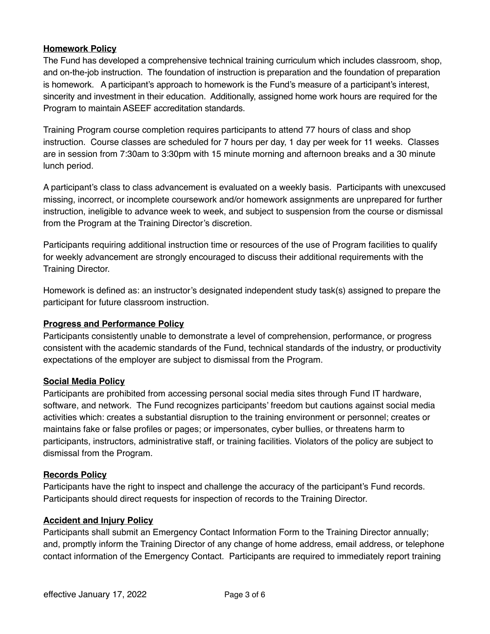# **Homework Policy**

The Fund has developed a comprehensive technical training curriculum which includes classroom, shop, and on-the-job instruction. The foundation of instruction is preparation and the foundation of preparation is homework. A participant's approach to homework is the Fund's measure of a participant's interest, sincerity and investment in their education. Additionally, assigned home work hours are required for the Program to maintain ASEEF accreditation standards.

Training Program course completion requires participants to attend 77 hours of class and shop instruction. Course classes are scheduled for 7 hours per day, 1 day per week for 11 weeks. Classes are in session from 7:30am to 3:30pm with 15 minute morning and afternoon breaks and a 30 minute lunch period.

A participant's class to class advancement is evaluated on a weekly basis. Participants with unexcused missing, incorrect, or incomplete coursework and/or homework assignments are unprepared for further instruction, ineligible to advance week to week, and subject to suspension from the course or dismissal from the Program at the Training Director's discretion.

Participants requiring additional instruction time or resources of the use of Program facilities to qualify for weekly advancement are strongly encouraged to discuss their additional requirements with the Training Director.

Homework is defined as: an instructor's designated independent study task(s) assigned to prepare the participant for future classroom instruction.

# **Progress and Performance Policy**

Participants consistently unable to demonstrate a level of comprehension, performance, or progress consistent with the academic standards of the Fund, technical standards of the industry, or productivity expectations of the employer are subject to dismissal from the Program.

# **Social Media Policy**

Participants are prohibited from accessing personal social media sites through Fund IT hardware, software, and network. The Fund recognizes participants' freedom but cautions against social media activities which: creates a substantial disruption to the training environment or personnel; creates or maintains fake or false profiles or pages; or impersonates, cyber bullies, or threatens harm to participants, instructors, administrative staff, or training facilities. Violators of the policy are subject to dismissal from the Program.

#### **Records Policy**

Participants have the right to inspect and challenge the accuracy of the participant's Fund records. Participants should direct requests for inspection of records to the Training Director.

#### **Accident and Injury Policy**

Participants shall submit an Emergency Contact Information Form to the Training Director annually; and, promptly inform the Training Director of any change of home address, email address, or telephone contact information of the Emergency Contact. Participants are required to immediately report training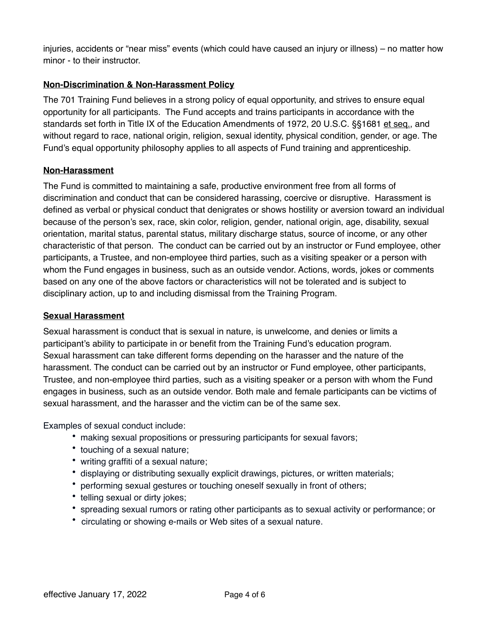injuries, accidents or "near miss" events (which could have caused an injury or illness) – no matter how minor - to their instructor.

# **Non-Discrimination & Non-Harassment Policy**

The 701 Training Fund believes in a strong policy of equal opportunity, and strives to ensure equal opportunity for all participants. The Fund accepts and trains participants in accordance with the standards set forth in Title IX of the Education Amendments of 1972, 20 U.S.C. §§1681 et seq., and without regard to race, national origin, religion, sexual identity, physical condition, gender, or age. The Fund's equal opportunity philosophy applies to all aspects of Fund training and apprenticeship.

# **Non-Harassment**

The Fund is committed to maintaining a safe, productive environment free from all forms of discrimination and conduct that can be considered harassing, coercive or disruptive. Harassment is defined as verbal or physical conduct that denigrates or shows hostility or aversion toward an individual because of the person's sex, race, skin color, religion, gender, national origin, age, disability, sexual orientation, marital status, parental status, military discharge status, source of income, or any other characteristic of that person. The conduct can be carried out by an instructor or Fund employee, other participants, a Trustee, and non-employee third parties, such as a visiting speaker or a person with whom the Fund engages in business, such as an outside vendor. Actions, words, jokes or comments based on any one of the above factors or characteristics will not be tolerated and is subject to disciplinary action, up to and including dismissal from the Training Program.

# **Sexual Harassment**

Sexual harassment is conduct that is sexual in nature, is unwelcome, and denies or limits a participant's ability to participate in or benefit from the Training Fund's education program. Sexual harassment can take different forms depending on the harasser and the nature of the harassment. The conduct can be carried out by an instructor or Fund employee, other participants, Trustee, and non-employee third parties, such as a visiting speaker or a person with whom the Fund engages in business, such as an outside vendor. Both male and female participants can be victims of sexual harassment, and the harasser and the victim can be of the same sex.

Examples of sexual conduct include:

- making sexual propositions or pressuring participants for sexual favors;
- touching of a sexual nature;
- writing graffiti of a sexual nature;
- displaying or distributing sexually explicit drawings, pictures, or written materials;
- performing sexual gestures or touching oneself sexually in front of others;
- telling sexual or dirty jokes;
- spreading sexual rumors or rating other participants as to sexual activity or performance; or
- circulating or showing e-mails or Web sites of a sexual nature.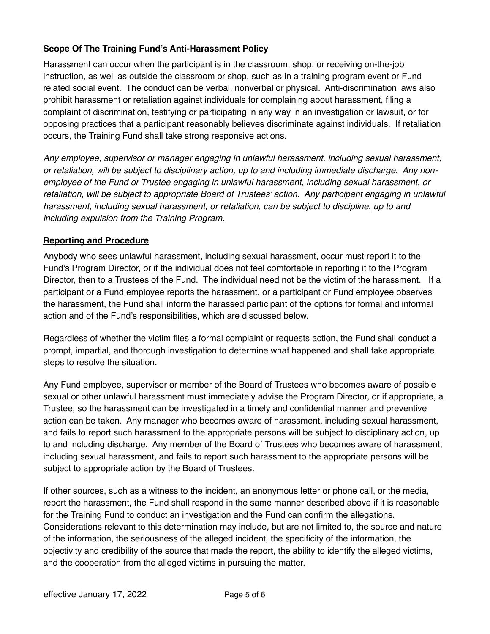# **Scope Of The Training Fund's Anti-Harassment Policy**

Harassment can occur when the participant is in the classroom, shop, or receiving on-the-job instruction, as well as outside the classroom or shop, such as in a training program event or Fund related social event. The conduct can be verbal, nonverbal or physical. Anti-discrimination laws also prohibit harassment or retaliation against individuals for complaining about harassment, filing a complaint of discrimination, testifying or participating in any way in an investigation or lawsuit, or for opposing practices that a participant reasonably believes discriminate against individuals. If retaliation occurs, the Training Fund shall take strong responsive actions.

*Any employee, supervisor or manager engaging in unlawful harassment, including sexual harassment, or retaliation, will be subject to disciplinary action, up to and including immediate discharge. Any nonemployee of the Fund or Trustee engaging in unlawful harassment, including sexual harassment, or retaliation, will be subject to appropriate Board of Trustees' action. Any participant engaging in unlawful harassment, including sexual harassment, or retaliation, can be subject to discipline, up to and including expulsion from the Training Program.*

#### **Reporting and Procedure**

Anybody who sees unlawful harassment, including sexual harassment, occur must report it to the Fund's Program Director, or if the individual does not feel comfortable in reporting it to the Program Director, then to a Trustees of the Fund. The individual need not be the victim of the harassment. If a participant or a Fund employee reports the harassment, or a participant or Fund employee observes the harassment, the Fund shall inform the harassed participant of the options for formal and informal action and of the Fund's responsibilities, which are discussed below.

Regardless of whether the victim files a formal complaint or requests action, the Fund shall conduct a prompt, impartial, and thorough investigation to determine what happened and shall take appropriate steps to resolve the situation.

Any Fund employee, supervisor or member of the Board of Trustees who becomes aware of possible sexual or other unlawful harassment must immediately advise the Program Director, or if appropriate, a Trustee, so the harassment can be investigated in a timely and confidential manner and preventive action can be taken. Any manager who becomes aware of harassment, including sexual harassment, and fails to report such harassment to the appropriate persons will be subject to disciplinary action, up to and including discharge. Any member of the Board of Trustees who becomes aware of harassment, including sexual harassment, and fails to report such harassment to the appropriate persons will be subject to appropriate action by the Board of Trustees.

If other sources, such as a witness to the incident, an anonymous letter or phone call, or the media, report the harassment, the Fund shall respond in the same manner described above if it is reasonable for the Training Fund to conduct an investigation and the Fund can confirm the allegations. Considerations relevant to this determination may include, but are not limited to, the source and nature of the information, the seriousness of the alleged incident, the specificity of the information, the objectivity and credibility of the source that made the report, the ability to identify the alleged victims, and the cooperation from the alleged victims in pursuing the matter.